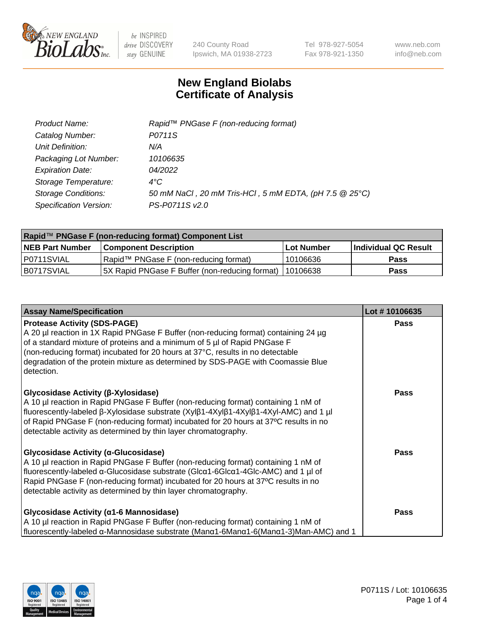

240 County Road Ipswich, MA 01938-2723 Tel 978-927-5054 Fax 978-921-1350 www.neb.com info@neb.com

## **New England Biolabs Certificate of Analysis**

| Product Name:              | Rapid™ PNGase F (non-reducing format)                  |
|----------------------------|--------------------------------------------------------|
| Catalog Number:            | P0711S                                                 |
| Unit Definition:           | N/A                                                    |
| Packaging Lot Number:      | 10106635                                               |
| <b>Expiration Date:</b>    | 04/2022                                                |
| Storage Temperature:       | $4^{\circ}$ C                                          |
| <b>Storage Conditions:</b> | 50 mM NaCl, 20 mM Tris-HCl, 5 mM EDTA, (pH 7.5 @ 25°C) |
| Specification Version:     | PS-P0711S v2.0                                         |

| Rapid™ PNGase F (non-reducing format) Component List |                                                         |             |                      |  |
|------------------------------------------------------|---------------------------------------------------------|-------------|----------------------|--|
| <b>NEB Part Number</b>                               | <b>Component Description</b>                            | ⊺Lot Number | Individual QC Result |  |
| I P0711SVIAL                                         | Rapid™ PNGase F (non-reducing format)                   | 10106636    | <b>Pass</b>          |  |
| IB0717SVIAL                                          | 5X Rapid PNGase F Buffer (non-reducing format) 10106638 |             | <b>Pass</b>          |  |

| <b>Assay Name/Specification</b>                                                                                                                                                                                                                                                                                                                                                             | Lot #10106635 |
|---------------------------------------------------------------------------------------------------------------------------------------------------------------------------------------------------------------------------------------------------------------------------------------------------------------------------------------------------------------------------------------------|---------------|
| <b>Protease Activity (SDS-PAGE)</b><br>A 20 µl reaction in 1X Rapid PNGase F Buffer (non-reducing format) containing 24 µg<br>of a standard mixture of proteins and a minimum of 5 µl of Rapid PNGase F<br>(non-reducing format) incubated for 20 hours at 37°C, results in no detectable<br>degradation of the protein mixture as determined by SDS-PAGE with Coomassie Blue<br>detection. | <b>Pass</b>   |
| Glycosidase Activity (β-Xylosidase)<br>A 10 µl reaction in Rapid PNGase F Buffer (non-reducing format) containing 1 nM of<br>fluorescently-labeled β-Xylosidase substrate (Xylβ1-4Xylβ1-4Xylβ1-4Xyl-AMC) and 1 µl<br>of Rapid PNGase F (non-reducing format) incubated for 20 hours at 37°C results in no<br>detectable activity as determined by thin layer chromatography.                | <b>Pass</b>   |
| <b>Glycosidase Activity (α-Glucosidase)</b><br>A 10 µl reaction in Rapid PNGase F Buffer (non-reducing format) containing 1 nM of<br>fluorescently-labeled α-Glucosidase substrate (Glcα1-6Glcα1-4Glc-AMC) and 1 µl of<br>Rapid PNGase F (non-reducing format) incubated for 20 hours at 37°C results in no<br>detectable activity as determined by thin layer chromatography.              | <b>Pass</b>   |
| <b>Glycosidase Activity (α1-6 Mannosidase)</b><br>A 10 µl reaction in Rapid PNGase F Buffer (non-reducing format) containing 1 nM of<br>fluorescently-labeled α-Mannosidase substrate (Manα1-6Manα1-6(Manα1-3)Man-AMC) and 1                                                                                                                                                                | <b>Pass</b>   |

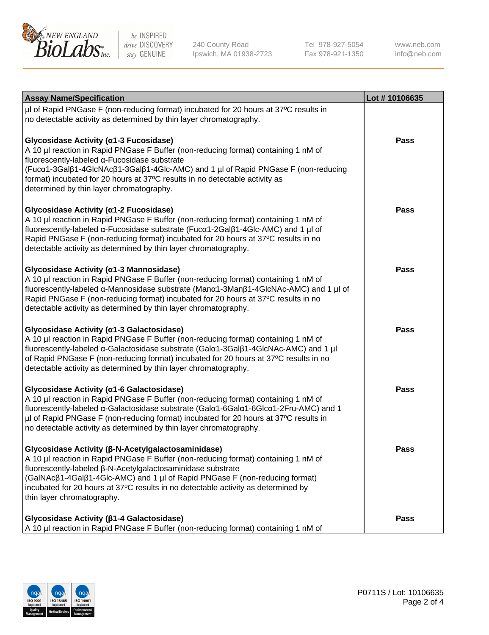

240 County Road Ipswich, MA 01938-2723 Tel 978-927-5054 Fax 978-921-1350 www.neb.com info@neb.com

| <b>Assay Name/Specification</b>                                                                                                                                                                                                                                                                                                                                                                           | Lot #10106635 |
|-----------------------------------------------------------------------------------------------------------------------------------------------------------------------------------------------------------------------------------------------------------------------------------------------------------------------------------------------------------------------------------------------------------|---------------|
| µl of Rapid PNGase F (non-reducing format) incubated for 20 hours at 37°C results in<br>no detectable activity as determined by thin layer chromatography.                                                                                                                                                                                                                                                |               |
| Glycosidase Activity (α1-3 Fucosidase)<br>A 10 µl reaction in Rapid PNGase F Buffer (non-reducing format) containing 1 nM of<br>fluorescently-labeled α-Fucosidase substrate<br>(Fucα1-3Galβ1-4GlcNAcβ1-3Galβ1-4Glc-AMC) and 1 µl of Rapid PNGase F (non-reducing<br>format) incubated for 20 hours at 37°C results in no detectable activity as<br>determined by thin layer chromatography.              | Pass          |
| Glycosidase Activity (α1-2 Fucosidase)<br>A 10 µl reaction in Rapid PNGase F Buffer (non-reducing format) containing 1 nM of<br>fluorescently-labeled α-Fucosidase substrate (Fucα1-2Galβ1-4Glc-AMC) and 1 µl of<br>Rapid PNGase F (non-reducing format) incubated for 20 hours at 37°C results in no<br>detectable activity as determined by thin layer chromatography.                                  | Pass          |
| Glycosidase Activity (α1-3 Mannosidase)<br>A 10 µl reaction in Rapid PNGase F Buffer (non-reducing format) containing 1 nM of<br>fluorescently-labeled α-Mannosidase substrate (Manα1-3Manβ1-4GlcNAc-AMC) and 1 µl of<br>Rapid PNGase F (non-reducing format) incubated for 20 hours at 37°C results in no<br>detectable activity as determined by thin layer chromatography.                             | Pass          |
| Glycosidase Activity (a1-3 Galactosidase)<br>A 10 µl reaction in Rapid PNGase F Buffer (non-reducing format) containing 1 nM of<br>fluorescently-labeled α-Galactosidase substrate (Galα1-3Galβ1-4GlcNAc-AMC) and 1 µl<br>of Rapid PNGase F (non-reducing format) incubated for 20 hours at 37°C results in no<br>detectable activity as determined by thin layer chromatography.                         | Pass          |
| Glycosidase Activity (α1-6 Galactosidase)<br>A 10 µl reaction in Rapid PNGase F Buffer (non-reducing format) containing 1 nM of<br>fluorescently-labeled α-Galactosidase substrate (Galα1-6Galα1-6Glcα1-2Fru-AMC) and 1<br>µl of Rapid PNGase F (non-reducing format) incubated for 20 hours at 37°C results in<br>no detectable activity as determined by thin layer chromatography.                     | Pass          |
| Glycosidase Activity (β-N-Acetylgalactosaminidase)<br>A 10 µl reaction in Rapid PNGase F Buffer (non-reducing format) containing 1 nM of<br>fluorescently-labeled β-N-Acetylgalactosaminidase substrate<br>(GalNAcβ1-4Galβ1-4Glc-AMC) and 1 µl of Rapid PNGase F (non-reducing format)<br>incubated for 20 hours at 37°C results in no detectable activity as determined by<br>thin layer chromatography. | <b>Pass</b>   |
| Glycosidase Activity (β1-4 Galactosidase)<br>A 10 µl reaction in Rapid PNGase F Buffer (non-reducing format) containing 1 nM of                                                                                                                                                                                                                                                                           | Pass          |

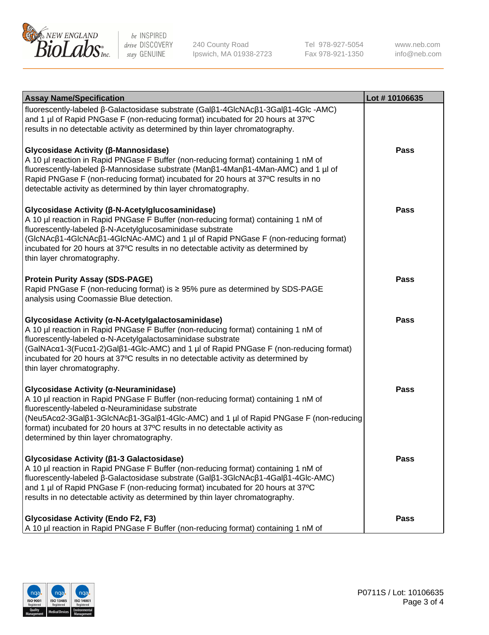

240 County Road Ipswich, MA 01938-2723

Tel 978-927-5054 Fax 978-921-1350 www.neb.com info@neb.com

| <b>Assay Name/Specification</b>                                                                                                                                                                                                                                                                                                                                                                                    | Lot #10106635 |
|--------------------------------------------------------------------------------------------------------------------------------------------------------------------------------------------------------------------------------------------------------------------------------------------------------------------------------------------------------------------------------------------------------------------|---------------|
| fluorescently-labeled β-Galactosidase substrate (Galβ1-4GlcNAcβ1-3Galβ1-4Glc-AMC)<br>and 1 µl of Rapid PNGase F (non-reducing format) incubated for 20 hours at 37°C<br>results in no detectable activity as determined by thin layer chromatography.                                                                                                                                                              |               |
| Glycosidase Activity (β-Mannosidase)<br>A 10 µl reaction in Rapid PNGase F Buffer (non-reducing format) containing 1 nM of<br>fluorescently-labeled β-Mannosidase substrate (Manβ1-4Manβ1-4Man-AMC) and 1 µl of<br>Rapid PNGase F (non-reducing format) incubated for 20 hours at 37°C results in no<br>detectable activity as determined by thin layer chromatography.                                            | Pass          |
| Glycosidase Activity (β-N-Acetylglucosaminidase)<br>A 10 µl reaction in Rapid PNGase F Buffer (non-reducing format) containing 1 nM of<br>fluorescently-labeled β-N-Acetylglucosaminidase substrate<br>(GIcNAcβ1-4GIcNAcβ1-4GIcNAc-AMC) and 1 µl of Rapid PNGase F (non-reducing format)<br>incubated for 20 hours at 37°C results in no detectable activity as determined by<br>thin layer chromatography.        | Pass          |
| <b>Protein Purity Assay (SDS-PAGE)</b><br>Rapid PNGase F (non-reducing format) is ≥ 95% pure as determined by SDS-PAGE<br>analysis using Coomassie Blue detection.                                                                                                                                                                                                                                                 | <b>Pass</b>   |
| Glycosidase Activity (α-N-Acetylgalactosaminidase)<br>A 10 µl reaction in Rapid PNGase F Buffer (non-reducing format) containing 1 nM of<br>fluorescently-labeled α-N-Acetylgalactosaminidase substrate<br>(GalNAcα1-3(Fucα1-2)Galß1-4Glc-AMC) and 1 µl of Rapid PNGase F (non-reducing format)<br>incubated for 20 hours at 37°C results in no detectable activity as determined by<br>thin layer chromatography. | <b>Pass</b>   |
| Glycosidase Activity (α-Neuraminidase)<br>A 10 µl reaction in Rapid PNGase F Buffer (non-reducing format) containing 1 nM of<br>fluorescently-labeled α-Neuraminidase substrate<br>(Neu5Acα2-3Galβ1-3GlcNAcβ1-3Galβ1-4Glc-AMC) and 1 µl of Rapid PNGase F (non-reducing<br>format) incubated for 20 hours at 37°C results in no detectable activity as<br>determined by thin layer chromatography.                 | Pass          |
| Glycosidase Activity (β1-3 Galactosidase)<br>A 10 µl reaction in Rapid PNGase F Buffer (non-reducing format) containing 1 nM of<br>fluorescently-labeled β-Galactosidase substrate (Galβ1-3GlcNAcβ1-4Galβ1-4Glc-AMC)<br>and 1 µl of Rapid PNGase F (non-reducing format) incubated for 20 hours at 37°C<br>results in no detectable activity as determined by thin layer chromatography.                           | Pass          |
| <b>Glycosidase Activity (Endo F2, F3)</b><br>A 10 µl reaction in Rapid PNGase F Buffer (non-reducing format) containing 1 nM of                                                                                                                                                                                                                                                                                    | <b>Pass</b>   |